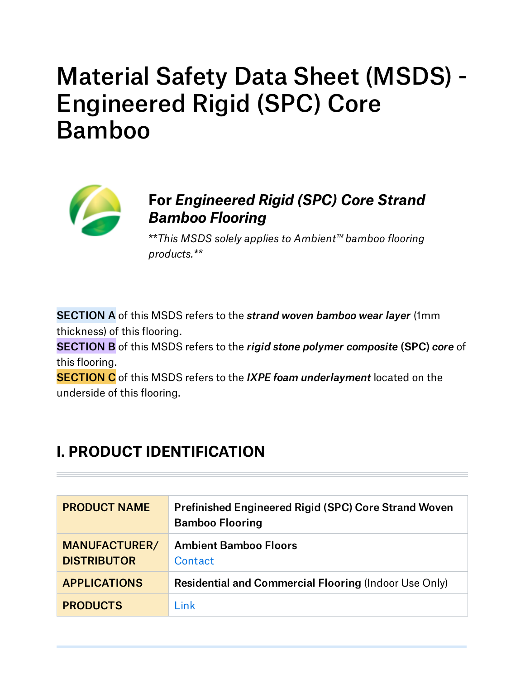# Material Safety Data Sheet (MSDS) - Engineered Rigid (SPC) Core Bamboo



### **For** *Engineered Rigid (SPC) Core Strand Bamboo Flooring*

\*\**This MSDS solely applies to Ambient™ bamboo flooring products.\*\**

SECTION A of this MSDS refers to the *strand woven bamboo wear layer* (1mm thickness) of this flooring.

SECTION B of this MSDS refers to the *rigid stone polymer composite* (SPC) *core* of this flooring.

SECTION C of this MSDS refers to the *IXPE foam underlayment* located on the underside of this flooring.

# **I. PRODUCT IDENTIFICATION**

| <b>PRODUCT NAME</b>                        | <b>Prefinished Engineered Rigid (SPC) Core Strand Woven</b><br><b>Bamboo Flooring</b> |
|--------------------------------------------|---------------------------------------------------------------------------------------|
| <b>MANUFACTURER/</b><br><b>DISTRIBUTOR</b> | <b>Ambient Bamboo Floors</b><br>Contact                                               |
| <b>APPLICATIONS</b>                        | <b>Residential and Commercial Flooring (Indoor Use Only)</b>                          |
| <b>PRODUCTS</b>                            | ∟ink                                                                                  |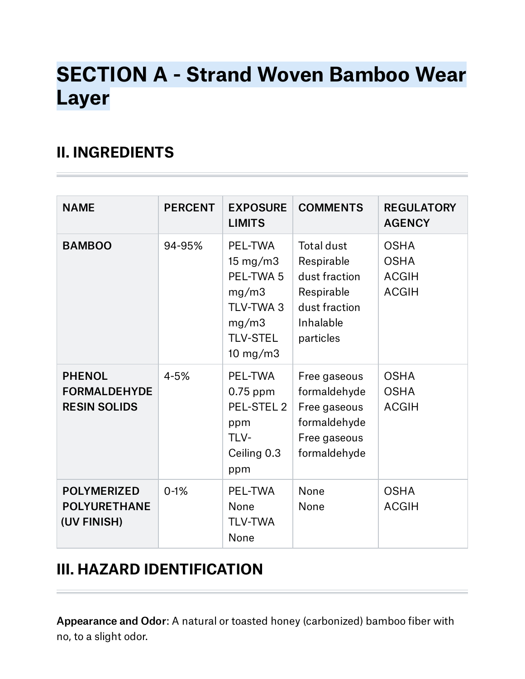# **SECTION A - Strand Woven Bamboo Wear Layer**

## **II. INGREDIENTS**

| <b>NAME</b>                                                 | <b>PERCENT</b> | <b>EXPOSURE</b><br><b>LIMITS</b>                                                                             | <b>COMMENTS</b>                                                                                           | <b>REGULATORY</b><br><b>AGENCY</b>                         |
|-------------------------------------------------------------|----------------|--------------------------------------------------------------------------------------------------------------|-----------------------------------------------------------------------------------------------------------|------------------------------------------------------------|
| <b>BAMBOO</b>                                               | 94-95%         | PEL-TWA<br>$15 \text{ mg/m}$ 3<br>PEL-TWA 5<br>mg/m3<br>TLV-TWA 3<br>mg/m3<br><b>TLV-STEL</b><br>10 mg/m $3$ | <b>Total dust</b><br>Respirable<br>dust fraction<br>Respirable<br>dust fraction<br>Inhalable<br>particles | <b>OSHA</b><br><b>OSHA</b><br><b>ACGIH</b><br><b>ACGIH</b> |
| <b>PHENOL</b><br><b>FORMALDEHYDE</b><br><b>RESIN SOLIDS</b> | $4 - 5%$       | PEL-TWA<br>$0.75$ ppm<br>PEL-STEL 2<br>ppm<br>TLV-<br>Ceiling 0.3<br>ppm                                     | Free gaseous<br>formaldehyde<br>Free gaseous<br>formaldehyde<br>Free gaseous<br>formaldehyde              | <b>OSHA</b><br><b>OSHA</b><br><b>ACGIH</b>                 |
| <b>POLYMERIZED</b><br><b>POLYURETHANE</b><br>(UV FINISH)    | $0 - 1%$       | PEL-TWA<br>None<br><b>TLV-TWA</b><br>None                                                                    | None<br>None                                                                                              | <b>OSHA</b><br><b>ACGIH</b>                                |

## **III. HAZARD IDENTIFICATION**

Appearance and Odor: A natural or toasted honey (carbonized) bamboo fiber with no, to a slight odor.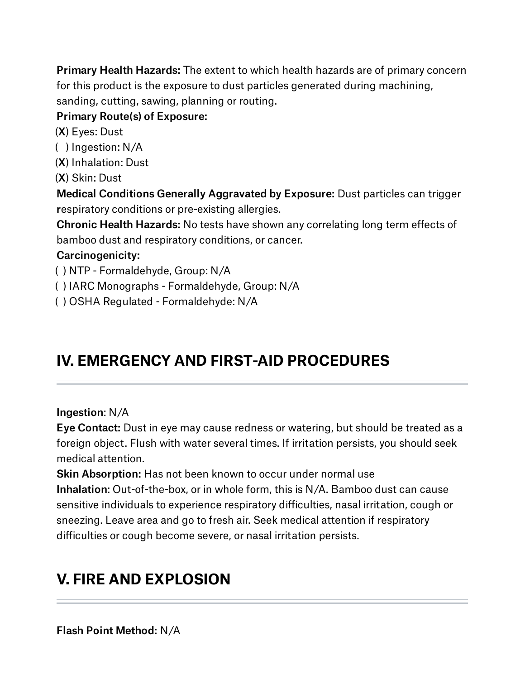Primary Health Hazards: The extent to which health hazards are of primary concern for this product is the exposure to dust particles generated during machining, sanding, cutting, sawing, planning or routing.

### Primary Route(s) of Exposure:

(X) Eyes: Dust

( ) Ingestion: N/A (X) Inhalation: Dust

(X) Skin: Dust

Medical Conditions Generally Aggravated by Exposure: Dust particles can trigger respiratory conditions or pre-existing allergies.

Chronic Health Hazards: No tests have shown any correlating long term effects of bamboo dust and respiratory conditions, or cancer.

### Carcinogenicity:

( ) NTP - Formaldehyde, Group: N/A

( ) IARC Monographs - Formaldehyde, Group: N/A

( ) OSHA Regulated - Formaldehyde: N/A

# **IV. EMERGENCY AND FIRST-AID PROCEDURES**

### Ingestion: N/A

Eye Contact: Dust in eye may cause redness or watering, but should be treated as a foreign object. Flush with water several times. If irritation persists, you should seek medical attention.

Skin Absorption: Has not been known to occur under normal use Inhalation: Out-of-the-box, or in whole form, this is N/A. Bamboo dust can cause sensitive individuals to experience respiratory difficulties, nasal irritation, cough or sneezing. Leave area and go to fresh air. Seek medical attention if respiratory difficulties or cough become severe, or nasal irritation persists.

# **V. FIRE AND EXPLOSION**

Flash Point Method: N/A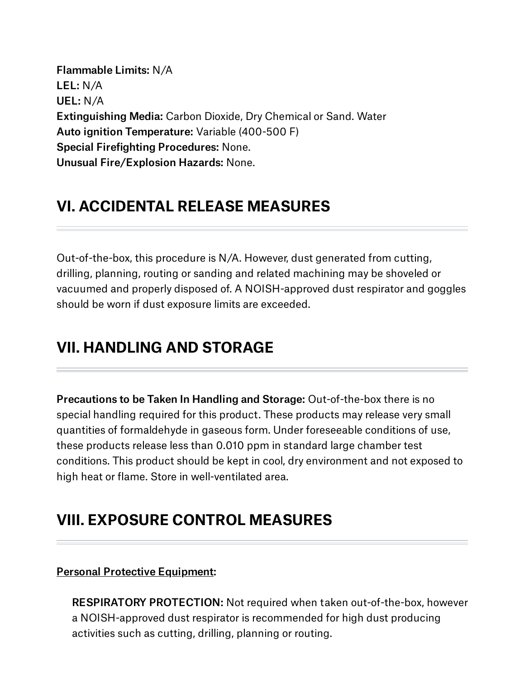Flammable Limits: N/A LEL: N/A UEL: N/A Extinguishing Media: Carbon Dioxide, Dry Chemical or Sand. Water Auto ignition Temperature: Variable (400-500 F) Special Firefighting Procedures: None. Unusual Fire/Explosion Hazards: None.

### **VI. ACCIDENTAL RELEASE MEASURES**

Out-of-the-box, this procedure is N/A. However, dust generated from cutting, drilling, planning, routing or sanding and related machining may be shoveled or vacuumed and properly disposed of. A NOISH-approved dust respirator and goggles should be worn if dust exposure limits are exceeded.

### **VII. HANDLING AND STORAGE**

Precautions to be Taken In Handling and Storage: Out-of-the-box there is no special handling required for this product. These products may release very small quantities of formaldehyde in gaseous form. Under foreseeable conditions of use, these products release less than 0.010 ppm in standard large chamber test conditions. This product should be kept in cool, dry environment and not exposed to high heat or flame. Store in well-ventilated area.

## **VIII. EXPOSURE CONTROL MEASURES**

### Personal Protective Equipment:

RESPIRATORY PROTECTION: Not required when taken out-of-the-box, however a NOISH-approved dust respirator is recommended for high dust producing activities such as cutting, drilling, planning or routing.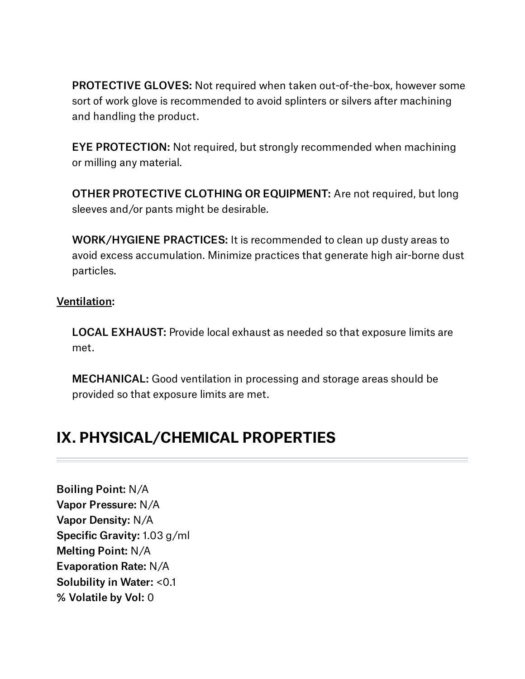PROTECTIVE GLOVES: Not required when taken out-of-the-box, however some sort of work glove is recommended to avoid splinters or silvers after machining and handling the product.

EYE PROTECTION: Not required, but strongly recommended when machining or milling any material.

OTHER PROTECTIVE CLOTHING OR EQUIPMENT: Are not required, but long sleeves and/or pants might be desirable.

WORK/HYGIENE PRACTICES: It is recommended to clean up dusty areas to avoid excess accumulation. Minimize practices that generate high air-borne dust particles.

### Ventilation:

LOCAL EXHAUST: Provide local exhaust as needed so that exposure limits are met.

MECHANICAL: Good ventilation in processing and storage areas should be provided so that exposure limits are met.

## **IX. PHYSICAL/CHEMICAL PROPERTIES**

Boiling Point: N/A Vapor Pressure: N/A Vapor Density: N/A Specific Gravity: 1.03 g/ml Melting Point: N/A Evaporation Rate: N/A Solubility in Water: <0.1 % Volatile by Vol: 0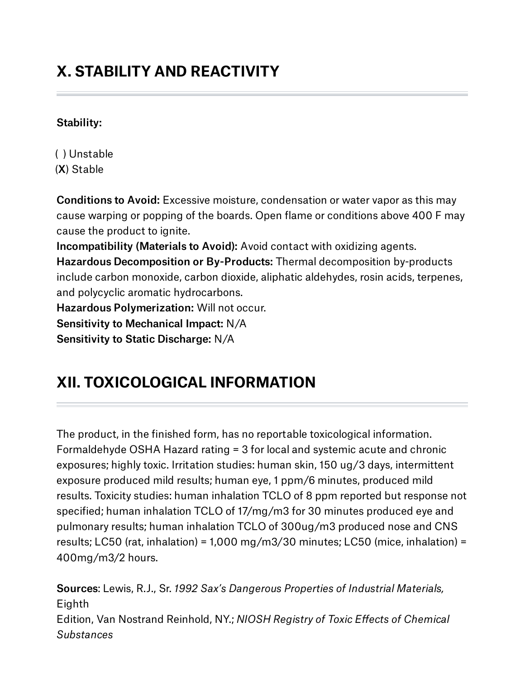# **X. STABILITY AND REACTIVITY**

### Stability:

( ) Unstable (X) Stable

Conditions to Avoid: Excessive moisture, condensation or water vapor as this may cause warping or popping of the boards. Open flame or conditions above 400 F may cause the product to ignite.

Incompatibility (Materials to Avoid): Avoid contact with oxidizing agents. Hazardous Decomposition or By-Products: Thermal decomposition by-products include carbon monoxide, carbon dioxide, aliphatic aldehydes, rosin acids, terpenes, and polycyclic aromatic hydrocarbons.

Hazardous Polymerization: Will not occur.

Sensitivity to Mechanical Impact: N/A

Sensitivity to Static Discharge: N/A

# **XII. TOXICOLOGICAL INFORMATION**

The product, in the finished form, has no reportable toxicological information. Formaldehyde OSHA Hazard rating = 3 for local and systemic acute and chronic exposures; highly toxic. Irritation studies: human skin, 150 ug/3 days, intermittent exposure produced mild results; human eye, 1 ppm/6 minutes, produced mild results. Toxicity studies: human inhalation TCLO of 8 ppm reported but response not specified; human inhalation TCLO of 17/mg/m3 for 30 minutes produced eye and pulmonary results; human inhalation TCLO of 300ug/m3 produced nose and CNS results; LC50 (rat, inhalation) = 1,000 mg/m3/30 minutes; LC50 (mice, inhalation) = 400mg/m3/2 hours.

Sources: Lewis, R.J., Sr. *1992 Sax's Dangerous Properties of Industrial Materials,* Eighth Edition, Van Nostrand Reinhold, NY.; *NIOSH Registry of Toxic Effects of Chemical Substances*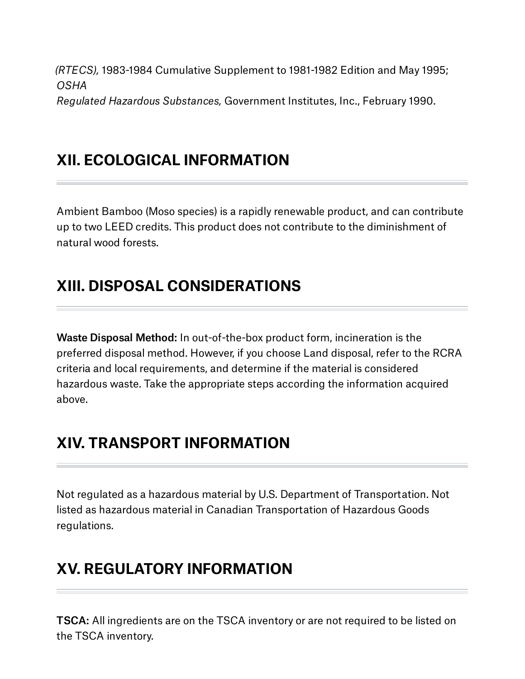*(RTECS),* 1983-1984 Cumulative Supplement to 1981-1982 Edition and May 1995; *OSHA Regulated Hazardous Substances,* Government Institutes, Inc., February 1990.

**XII. ECOLOGICAL INFORMATION**

Ambient Bamboo (Moso species) is a rapidly renewable product, and can contribute up to two LEED credits. This product does not contribute to the diminishment of natural wood forests.

# **XIII. DISPOSAL CONSIDERATIONS**

Waste Disposal Method: In out-of-the-box product form, incineration is the preferred disposal method. However, if you choose Land disposal, refer to the RCRA criteria and local requirements, and determine if the material is considered hazardous waste. Take the appropriate steps according the information acquired above.

# **XIV. TRANSPORT INFORMATION**

Not regulated as a hazardous material by U.S. Department of Transportation. Not listed as hazardous material in Canadian Transportation of Hazardous Goods regulations.

# **XV. REGULATORY INFORMATION**

TSCA: All ingredients are on the TSCA inventory or are not required to be listed on the TSCA inventory.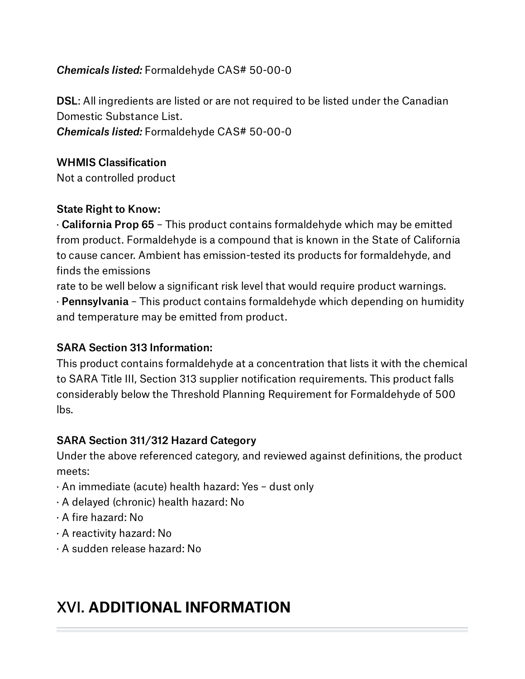### *Chemicals listed:* Formaldehyde CAS# 50-00-0

DSL: All ingredients are listed or are not required to be listed under the Canadian Domestic Substance List. *Chemicals listed:* Formaldehyde CAS# 50-00-0

### WHMIS Classification

Not a controlled product

### State Right to Know:

· California Prop 65 – This product contains formaldehyde which may be emitted from product. Formaldehyde is a compound that is known in the State of California to cause cancer. Ambient has emission-tested its products for formaldehyde, and finds the emissions

rate to be well below a significant risk level that would require product warnings. · Pennsylvania – This product contains formaldehyde which depending on humidity and temperature may be emitted from product.

### SARA Section 313 Information:

This product contains formaldehyde at a concentration that lists it with the chemical to SARA Title III, Section 313 supplier notification requirements. This product falls considerably below the Threshold Planning Requirement for Formaldehyde of 500 lbs.

### SARA Section 311/312 Hazard Category

Under the above referenced category, and reviewed against definitions, the product meets:

- · An immediate (acute) health hazard: Yes dust only
- · A delayed (chronic) health hazard: No
- · A fire hazard: No
- · A reactivity hazard: No
- · A sudden release hazard: No

## XVI. **ADDITIONAL INFORMATION**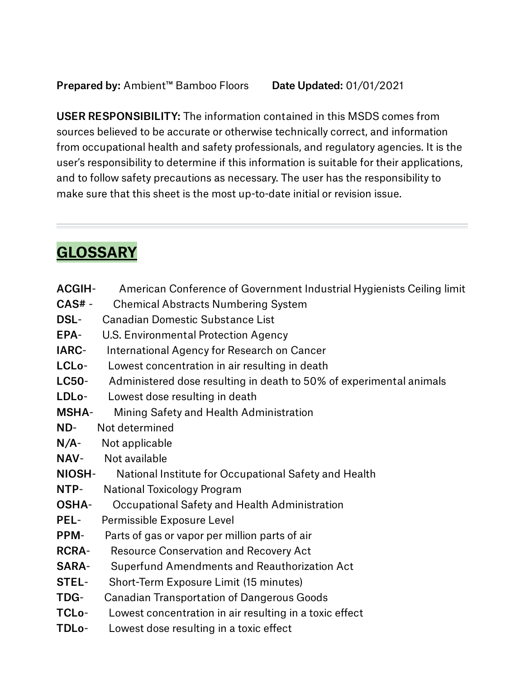USER RESPONSIBILITY: The information contained in this MSDS comes from sources believed to be accurate or otherwise technically correct, and information from occupational health and safety professionals, and regulatory agencies. It is the user's responsibility to determine if this information is suitable for their applications, and to follow safety precautions as necessary. The user has the responsibility to make sure that this sheet is the most up-to-date initial or revision issue.

# **GLOSSARY**

- ACGIH- American Conference of Government Industrial Hygienists Ceiling limit
- CAS# Chemical Abstracts Numbering System
- DSL- Canadian Domestic Substance List
- EPA- U.S. Environmental Protection Agency
- IARC- International Agency for Research on Cancer
- LCLo- Lowest concentration in air resulting in death
- LC50- Administered dose resulting in death to 50% of experimental animals
- LDLo- Lowest dose resulting in death
- MSHA- Mining Safety and Health Administration
- ND- Not determined
- N/A- Not applicable
- NAV- Not available
- NIOSH- National Institute for Occupational Safety and Health
- NTP- National Toxicology Program
- OSHA- Occupational Safety and Health Administration
- PEL- Permissible Exposure Level
- PPM- Parts of gas or vapor per million parts of air
- RCRA- Resource Conservation and Recovery Act
- SARA- Superfund Amendments and Reauthorization Act
- STEL- Short-Term Exposure Limit (15 minutes)
- TDG- Canadian Transportation of Dangerous Goods
- TCLo- Lowest concentration in air resulting in a toxic effect
- TDLo- Lowest dose resulting in a toxic effect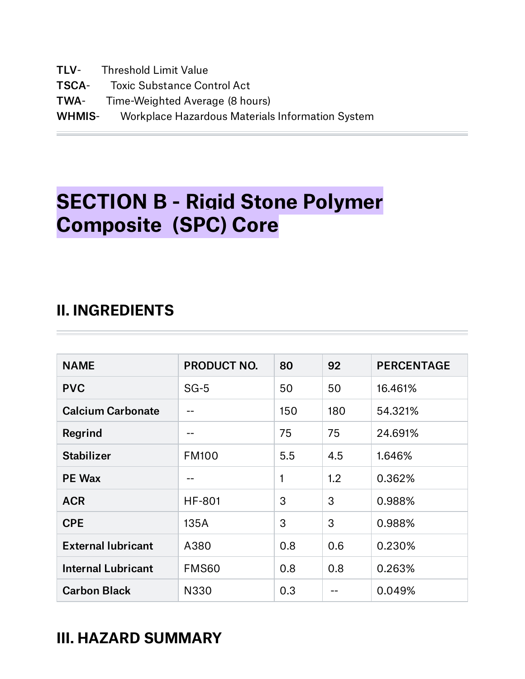TLV- Threshold Limit Value TSCA- Toxic Substance Control Act TWA- Time-Weighted Average (8 hours) WHMIS- Workplace Hazardous Materials Information System

# **SECTION B - Rigid Stone Polymer Composite (SPC) Core**

## **II. INGREDIENTS**

| <b>NAME</b>               | <b>PRODUCT NO.</b> | 80  | 92  | <b>PERCENTAGE</b> |
|---------------------------|--------------------|-----|-----|-------------------|
| <b>PVC</b>                | $SG-5$             | 50  | 50  | 16.461%           |
| <b>Calcium Carbonate</b>  |                    | 150 | 180 | 54.321%           |
| Regrind                   | --                 | 75  | 75  | 24.691%           |
| <b>Stabilizer</b>         | <b>FM100</b>       | 5.5 | 4.5 | 1.646%            |
| <b>PE Wax</b>             | --                 |     | 1.2 | 0.362%            |
| <b>ACR</b>                | <b>HF-801</b>      | 3   | 3   | 0.988%            |
| <b>CPE</b>                | 135A               | 3   | 3   | 0.988%            |
| <b>External lubricant</b> | A380               | 0.8 | 0.6 | 0.230%            |
| <b>Internal Lubricant</b> | FMS60              | 0.8 | 0.8 | 0.263%            |
| <b>Carbon Black</b>       | N330               | 0.3 |     | 0.049%            |

## **III. HAZARD SUMMARY**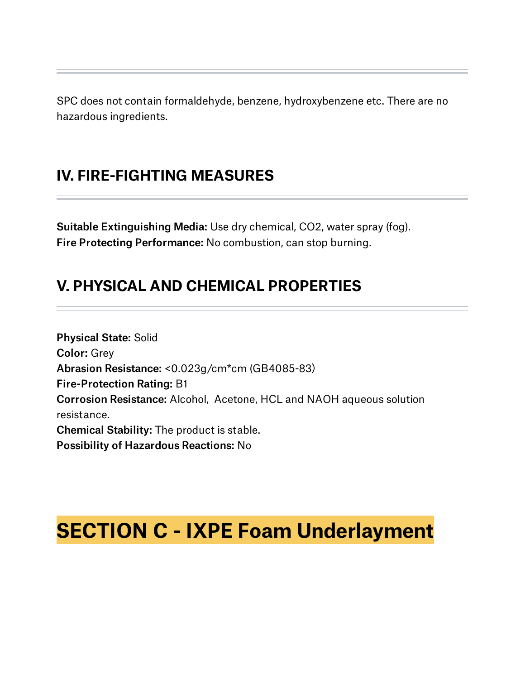SPC does not contain formaldehyde, benzene, hydroxybenzene etc. There are no hazardous ingredients.

## **IV. FIRE-FIGHTING MEASURES**

Suitable Extinguishing Media: Use dry chemical, CO2, water spray (fog). Fire Protecting Performance: No combustion, can stop burning.

## **V. PHYSICAL AND CHEMICAL PROPERTIES**

Physical State: Solid Color: Grey Abrasion Resistance: <0.023g/cm\*cm (GB4085-83) Fire-Protection Rating: B1 Corrosion Resistance: Alcohol, Acetone, HCL and NAOH aqueous solution resistance. Chemical Stability: The product is stable. Possibility of Hazardous Reactions: No

# **SECTION C - IXPE Foam Underlayment**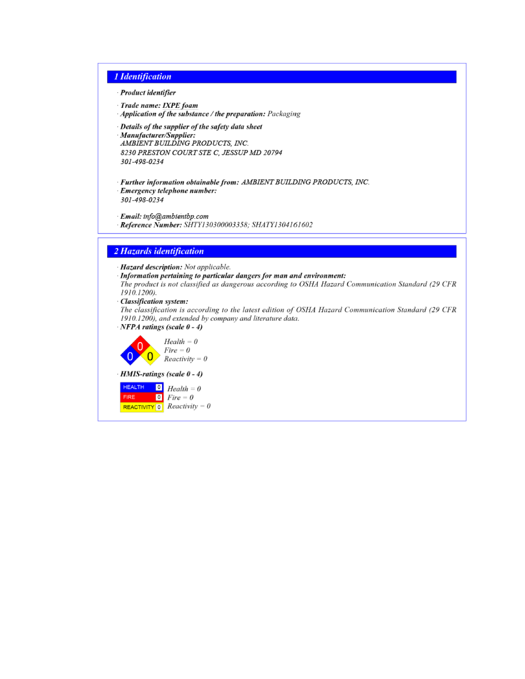#### 1 Identification

- Product identifier

- · Trade name: IXPE foam
- · Application of the substance / the preparation: Packaging
- · Details of the supplier of the safety data sheet
- · Manufacturer/Supplier:

AMBIENT BUILDING PRODUCTS, INC. 8230 PRESTON COURT STE C, JESSUP MD 20794 301-498-0234

· Further information obtainable from: AMBIENT BUILDING PRODUCTS, INC. · Emergency telephone number:

301-498-0234

· Email: info@ambientbp.com Reference Number: SHTY130300003358; SHATY1304161602

#### 2 Hazards identification

· Hazard description: Not applicable.

Information pertaining to particular dangers for man and environment: The product is not classified as dangerous according to OSHA Hazard Communication Standard (29 CFR 1910.1200).

· Classification system:

The classification is according to the latest edition of OSHA Hazard Communication Standard (29 CFR 1910.1200), and extended by company and literature data.





· HMIS-ratings (scale 0 - 4)

**HEALTH**  $\begin{bmatrix} 0 \\ H \end{bmatrix}$  Health = 0 **FIRE**  $\bullet$  Fire = 0 **REACTIVITY** 0 **Reactivity** = 0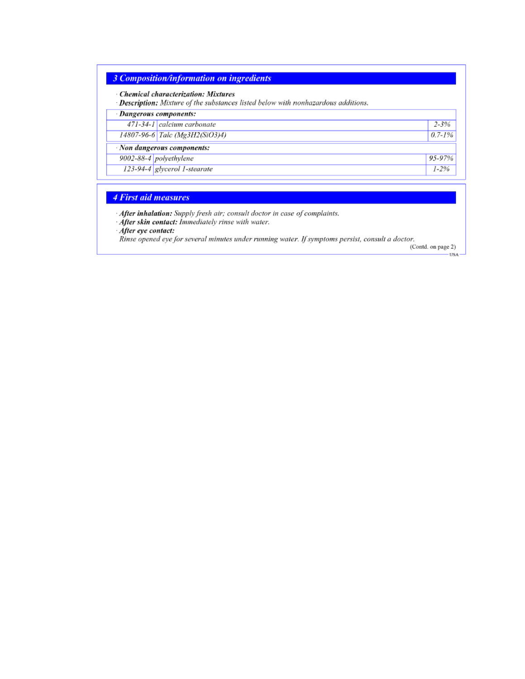### 3 Composition/information on ingredients

| · Dangerous components:        |             |
|--------------------------------|-------------|
| 471-34-1 calcium carbonate     | $2 - 3%$    |
| 14807-96-6 Talc (Mg3H2(SiO3)4) | $0.7 - 1\%$ |
| Non dangerous components:      |             |
| 9002-88-4 polyethylene         | 95-97%      |
| 123-94-4 glycerol 1-stearate   | $1 - 2\%$   |

#### 4 First aid measures

· After inhalation: Supply fresh air; consult doctor in case of complaints.

After skin contact: Immediately rinse with water.

After eye contact:

Rinse opened eye for several minutes under running water. If symptoms persist, consult a doctor.

(Contd. on page 2) -USA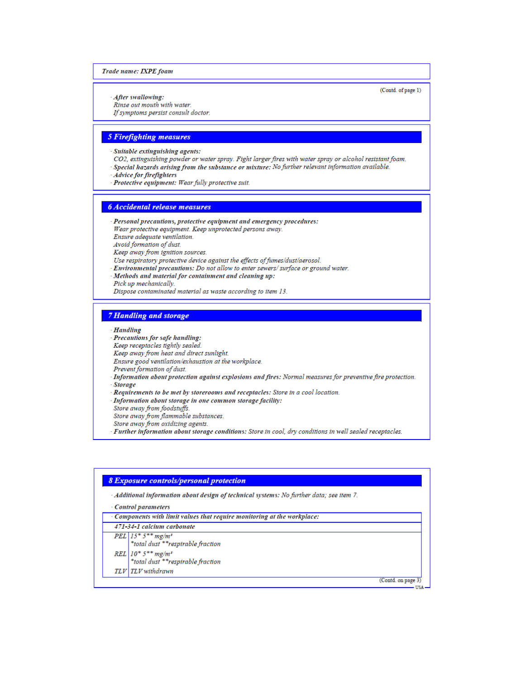#### Trade name: IXPE foam

(Contd. of page 1)

After swallowing:

Rinse out mouth with water. If symptoms persist consult doctor.

#### **5 Firefighting measures**

- Suitable extinguishing agents:
- CO2, extinguishing powder or water spray. Fight larger fires with water spray or alcohol resistant foam. Special hazards arising from the substance or mixture: No further relevant information available.
- Advice for firefighters
- Protective equipment: Wear fully protective suit.

#### **6** Accidental release measures

- Personal precautions, protective equipment and emergency procedures: Wear protective equipment. Keep unprotected persons away. Ensure adequate ventilation. Avoid formation of dust. Keep away from ignition sources. Use respiratory protective device against the effects of fumes/dust/aerosol. Environmental precautions: Do not allow to enter sewers/surface or ground water. Methods and material for containment and cleaning up:
- Pick up mechanically.
- Dispose contaminated material as waste according to item 13.

#### **7 Handling and storage**

- **Handling**
- Precautions for safe handling:
- Keep receptacles tightly sealed.
- Keep away from heat and direct sunlight.
- Ensure good ventilation/exhaustion at the workplace.
- Prevent formation of dust.
- Information about protection against explosions and fires: Normal measures for preventive fire protection. **Storage**
- Requirements to be met by storerooms and receptacles: Store in a cool location.
- Information about storage in one common storage facility:
- Store away from foodstuffs.
- Store away from flammable substances.
- Store away from oxidizing agents.
- Further information about storage conditions: Store in cool, dry conditions in well sealed receptacles.

#### **8 Exposure controls/personal protection** Additional information about design of technical systems: No further data; see item 7. Control parameters Components with limit values that require monitoring at the workplace: 471-34-1 calcium carbonate  $PEL$  15<sup>\*</sup> 5<sup>\*\*</sup> mg/m<sup>3</sup>

- \*total dust \*\*respirable fraction  $REL | 10^* 5^{**} mg/m^3$ \*total dust \*\*respirable fraction
- TLV TLV withdrawn

(Contd. on page 3) **USA**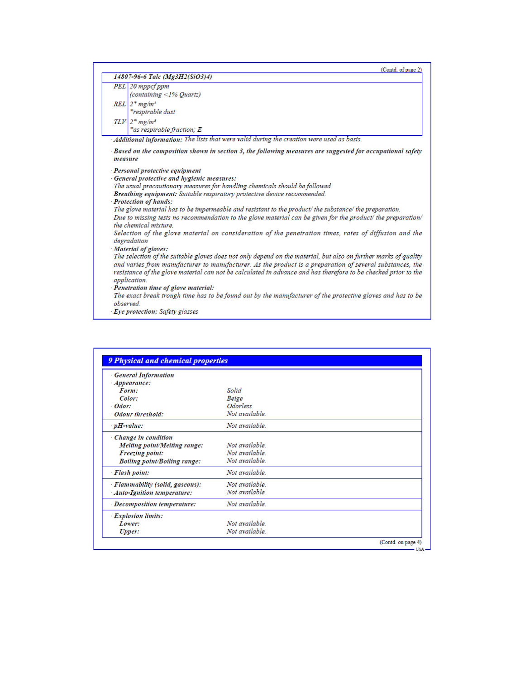|            | (Contd. of page 2)                                                                                                                   |
|------------|--------------------------------------------------------------------------------------------------------------------------------------|
|            | 14807-96-6 Talc (Mg3H2(SiO3)4)                                                                                                       |
|            | PEL 20 mppcf ppm                                                                                                                     |
|            | (containing <1% Quartz)                                                                                                              |
| <b>REL</b> | $2*$ mg/m <sup>3</sup>                                                                                                               |
|            | *respirable dust                                                                                                                     |
|            | $TLV$ $2*$ mg/m <sup>3</sup>                                                                                                         |
|            | *as respirable fraction; E                                                                                                           |
|            | $\cdot$ Additional information: The lists that were valid during the creation were used as basis.                                    |
|            | Based on the composition shown in section 3, the following measures are suggested for occupational safety                            |
| measure    |                                                                                                                                      |
|            | - Personal protective equipment                                                                                                      |
|            | General protective and hygienic measures:                                                                                            |
|            | The usual precautionary measures for handling chemicals should be followed.                                                          |
|            | Breathing equipment: Suitable respiratory protective device recommended.                                                             |
|            | - Protection of hands:                                                                                                               |
|            | The glove material has to be impermeable and resistant to the product/ the substance/ the preparation.                               |
|            | Due to missing tests no recommendation to the glove material can be given for the product/ the preparation/<br>the chemical mixture. |
|            | Selection of the glove material on consideration of the penetration times, rates of diffusion and the<br>degradation                 |
|            | Material of gloves:                                                                                                                  |
|            | The selection of the suitable gloves does not only depend on the material, but also on further marks of quality                      |
|            | and varies from manufacturer to manufacturer. As the product is a preparation of several substances, the                             |
|            | resistance of the glove material can not be calculated in advance and has therefore to be checked prior to the                       |
|            | application.                                                                                                                         |
|            | · Penetration time of glove material:                                                                                                |
| observed   | The exact break trough time has to be found out by the manufacturer of the protective gloves and has to be                           |
|            | Eye protection: Safety glasses                                                                                                       |

| <b>General Information</b>          |                        |  |
|-------------------------------------|------------------------|--|
| $\cdot$ Appearance:                 |                        |  |
| Form:                               | Solid                  |  |
| Color:                              | Beige                  |  |
| $-$ <i>Odor</i> :                   | <i><b>Odorless</b></i> |  |
| · Odour threshold:                  | Not available.         |  |
| $\cdot$ pH-value:                   | Not available          |  |
| Change in condition                 |                        |  |
| Melting point/Melting range:        | Not available          |  |
| Freezing point:                     | Not available          |  |
| <b>Boiling point/Boiling range:</b> | Not available.         |  |
| - Flash point:                      | Not available.         |  |
| · Flammability (solid, gaseous):    | Not available          |  |
| · Auto-Ignition temperature:        | Not available.         |  |
| · Decomposition temperature:        | Not available          |  |
| <b>Explosion limits:</b>            |                        |  |
| Lower:                              | Not available.         |  |
| Upper:                              | Not available.         |  |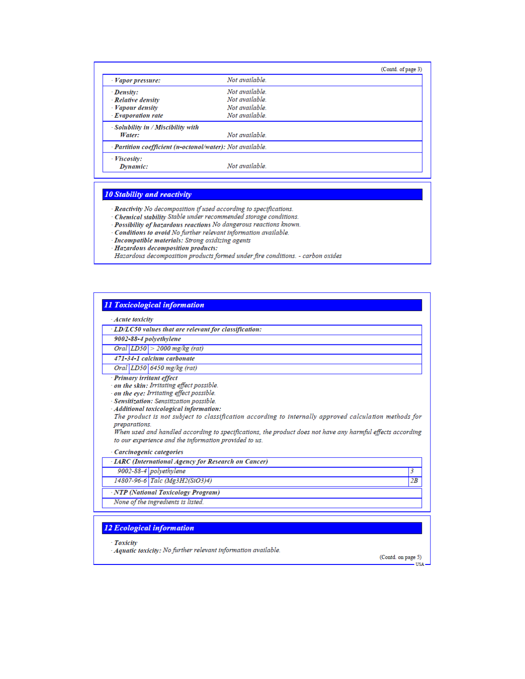|                                                           |                | (Contd. of page 3) |
|-----------------------------------------------------------|----------------|--------------------|
| · Vapor pressure:                                         | Not available  |                    |
| · Density:                                                | Not available  |                    |
| · Relative density                                        | Not available  |                    |
| $\cdot$ Vapour density                                    | Not available  |                    |
| $\cdot$ Evaporation rate                                  | Not available. |                    |
| - Solubility in / Miscibility with                        |                |                    |
| Water:                                                    | Not available. |                    |
| - Partition coefficient (n-octonol/water): Not available. |                |                    |
| · Viscosity:                                              |                |                    |
| Dynamic:                                                  | Not available. |                    |

#### **10 Stability and reactivity**

 $\cdot$  Reactivity No decomposition if used according to specifications.<br> $\cdot$  Chemical stability Stable under recommended storage conditions.

- 
- · Possibility of hazardous reactions No dangerous reactions known. Conditions to avoid No further relevant information available.
- Incompatible materials: Strong oxidizing agents<br>Hazardous decomposition products:
- 
- Hazardous decomposition products formed under fire conditions. carbon oxides

| $\cdot$ Acute toxicity |                                                                                                                                                                                                                                                                                                                                                                                                  |    |
|------------------------|--------------------------------------------------------------------------------------------------------------------------------------------------------------------------------------------------------------------------------------------------------------------------------------------------------------------------------------------------------------------------------------------------|----|
|                        | · LD/LC50 values that are relevant for classification:                                                                                                                                                                                                                                                                                                                                           |    |
|                        | 9002-88-4 polyethylene                                                                                                                                                                                                                                                                                                                                                                           |    |
|                        | Oral $ LDS0  > 2000$ mg/kg (rat)                                                                                                                                                                                                                                                                                                                                                                 |    |
|                        | 471-34-1 calcium carbonate                                                                                                                                                                                                                                                                                                                                                                       |    |
|                        | Oral LD50 6450 mg/kg (rat)                                                                                                                                                                                                                                                                                                                                                                       |    |
|                        | on the skin: Irritating effect possible.<br>on the eye: Irritating effect possible.                                                                                                                                                                                                                                                                                                              |    |
| preparations.          | · Sensitization: Sensitization possible.<br>· Additional toxicological information:<br>The product is not subject to classification according to internally approved calculation methods for<br>When used and handled according to specifications, the product does not have any harmful effects according<br>to our experience and the information provided to us.<br>- Carcinogenic categories |    |
|                        | · <b>LARC</b> (International Agency for Research on Cancer)                                                                                                                                                                                                                                                                                                                                      |    |
|                        | 9002-88-4 polyethylene                                                                                                                                                                                                                                                                                                                                                                           | 3  |
|                        | 14807-96-6 Talc (Mg3H2(SiO3)4)                                                                                                                                                                                                                                                                                                                                                                   | 2B |
|                        | · NTP (National Toxicology Program)                                                                                                                                                                                                                                                                                                                                                              |    |

#### 12 Ecological information

**Toxicity** 

Aquatic toxicity: No further relevant information available.

(Contd. on page 5) USA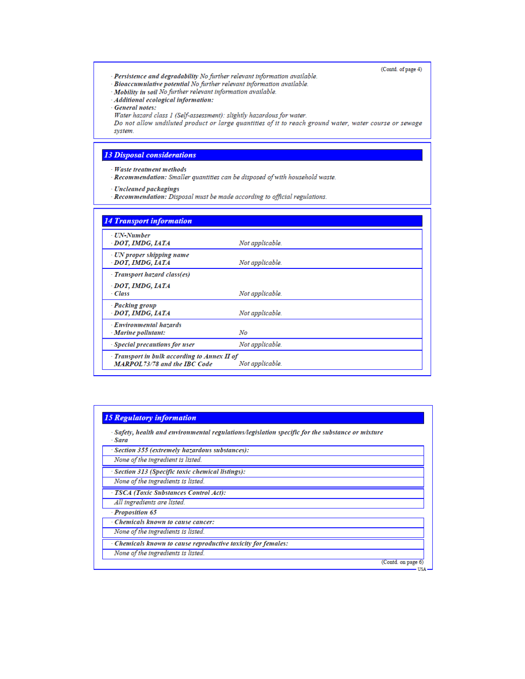(Contd. of page 4)

- Persistence and degradability No further relevant information available.
- Bioaccumulative potential No further relevant information available.
- Mobility in soil No further relevant information available.
- Additional ecological information:

General notes:

Water hazard class 1 (Self-assessment): slightly hazardous for water.

Do not allow undiluted product or large quantities of it to reach ground water, water course or sewage system.

#### **13 Disposal considerations**

- Waste treatment methods
- Recommendation: Smaller quantities can be disposed of with household waste.
- **Uncleaned packagings**
- Recommendation: Disposal must be made according to official regulations.

| - UN-Number<br>DOT, IMDG, IATA                    | Not applicable. |
|---------------------------------------------------|-----------------|
| · UN proper shipping name<br>DOT, IMDG, IATA      | Not applicable. |
| Transport hazard class(es)                        |                 |
| - DOT, IMDG, IATA<br>- Class                      | Not applicable. |
| - Packing group<br>DOT, IMDG, IATA                | Not applicable. |
| <b>Environmental hazards</b><br>Marine pollutant: | No              |
| Special precautions for user                      | Not applicable. |

#### **15 Regulatory information**

| Safety, health and environmental regulations/legislation specific for the substance or mixture<br>- Sara |                    |
|----------------------------------------------------------------------------------------------------------|--------------------|
| Section 355 (extremely hazardous substances):                                                            |                    |
| None of the ingredient is listed.                                                                        |                    |
| · Section 313 (Specific toxic chemical listings):                                                        |                    |
| None of the ingredients is listed.                                                                       |                    |
| - TSCA (Toxic Substances Control Act):                                                                   |                    |
| All ingredients are listed.                                                                              |                    |
| - Proposition 65                                                                                         |                    |
| • Chemicals known to cause cancer:                                                                       |                    |
| None of the ingredients is listed.                                                                       |                    |
| · Chemicals known to cause reproductive toxicity for females:                                            |                    |
| None of the ingredients is listed.                                                                       |                    |
|                                                                                                          | (Contd. on page 6) |